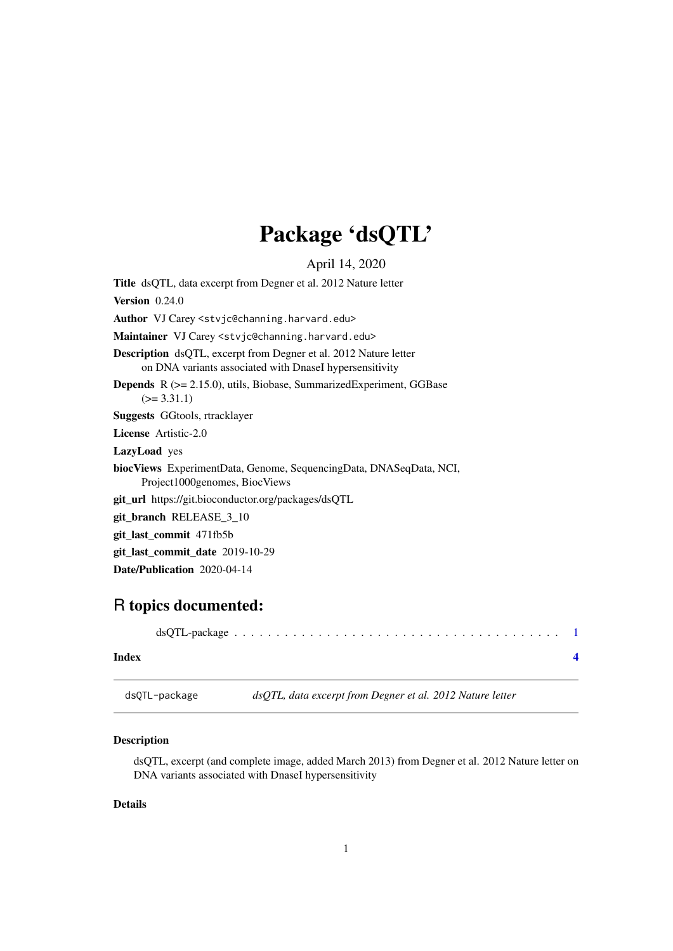## Package 'dsQTL'

April 14, 2020

<span id="page-0-0"></span>Title dsQTL, data excerpt from Degner et al. 2012 Nature letter

Version 0.24.0

Author VJ Carey <stvjc@channing.harvard.edu>

Maintainer VJ Carey <stvjc@channing.harvard.edu>

Description dsQTL, excerpt from Degner et al. 2012 Nature letter on DNA variants associated with DnaseI hypersensitivity

Depends R (>= 2.15.0), utils, Biobase, SummarizedExperiment, GGBase  $(>= 3.31.1)$ 

Suggests GGtools, rtracklayer

License Artistic-2.0

LazyLoad yes

biocViews ExperimentData, Genome, SequencingData, DNASeqData, NCI, Project1000genomes, BiocViews

git\_url https://git.bioconductor.org/packages/dsQTL

git\_branch RELEASE\_3\_10

```
git_last_commit 471fb5b
```
git\_last\_commit\_date 2019-10-29

Date/Publication 2020-04-14

### R topics documented:

|--|--|--|--|--|--|--|--|--|--|--|--|--|--|--|--|--|--|--|

#### **Index** [4](#page-3-0)

dsQTL-package *dsQTL, data excerpt from Degner et al. 2012 Nature letter*

#### Description

dsQTL, excerpt (and complete image, added March 2013) from Degner et al. 2012 Nature letter on DNA variants associated with DnaseI hypersensitivity

#### Details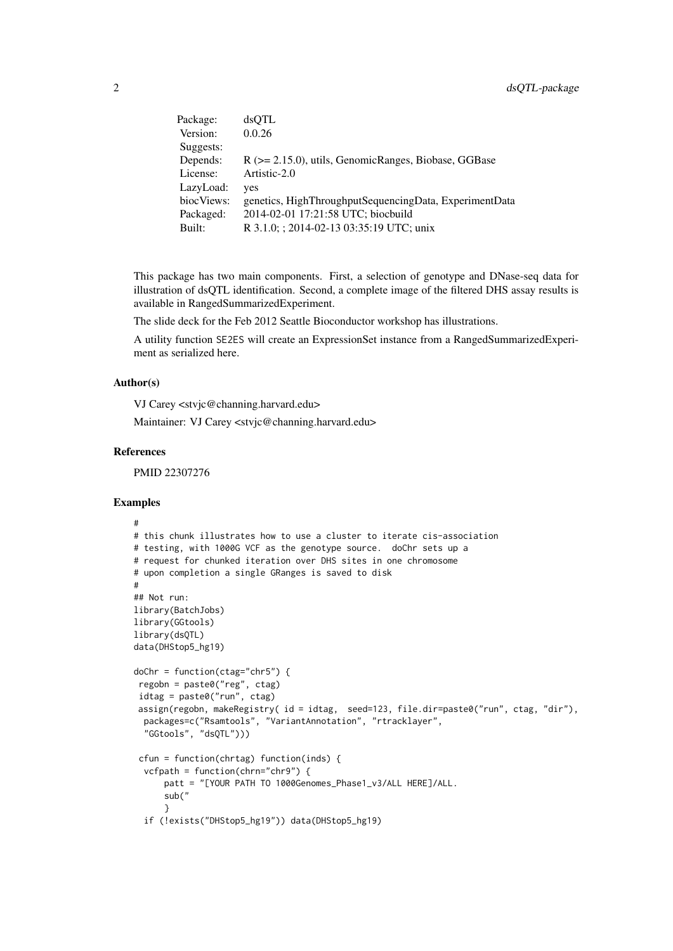| Package:   | dsOTL                                                       |
|------------|-------------------------------------------------------------|
| Version:   | 0.0.26                                                      |
| Suggests:  |                                                             |
| Depends:   | $R$ ( $>= 2.15.0$ ), utils, GenomicRanges, Biobase, GGB ase |
| License:   | Artistic-2.0                                                |
| LazyLoad:  | yes                                                         |
| biocViews: | genetics, HighThroughputSequencingData, ExperimentData      |
| Packaged:  | 2014-02-01 17:21:58 UTC; biocbuild                          |
| Built:     | R 3.1.0; ; 2014-02-13 03:35:19 UTC; unix                    |

This package has two main components. First, a selection of genotype and DNase-seq data for illustration of dsQTL identification. Second, a complete image of the filtered DHS assay results is available in RangedSummarizedExperiment.

The slide deck for the Feb 2012 Seattle Bioconductor workshop has illustrations.

A utility function SE2ES will create an ExpressionSet instance from a RangedSummarizedExperiment as serialized here.

#### Author(s)

VJ Carey <stvjc@channing.harvard.edu>

Maintainer: VJ Carey <stvjc@channing.harvard.edu>

#### References

PMID 22307276

#### Examples

```
#
# this chunk illustrates how to use a cluster to iterate cis-association
# testing, with 1000G VCF as the genotype source. doChr sets up a
# request for chunked iteration over DHS sites in one chromosome
# upon completion a single GRanges is saved to disk
#
## Not run:
library(BatchJobs)
library(GGtools)
library(dsQTL)
data(DHStop5_hg19)
doChr = function(ctag="chr5") {
 regobn = paste0("reg", ctag)
 idtag = paste0("run", ctag)
 assign(regobn, makeRegistry( id = idtag, seed=123, file.dir=paste0("run", ctag, "dir"),
  packages=c("Rsamtools", "VariantAnnotation", "rtracklayer",
  "GGtools", "dsQTL")))
 cfun = function(chrtag) function(inds) {
  vcfpath = function(chrn="chr9") {
      patt = "[YOUR PATH TO 1000Genomes_Phase1_v3/ALL HERE]/ALL.
      sub("
      }
  if (!exists("DHStop5_hg19")) data(DHStop5_hg19)
```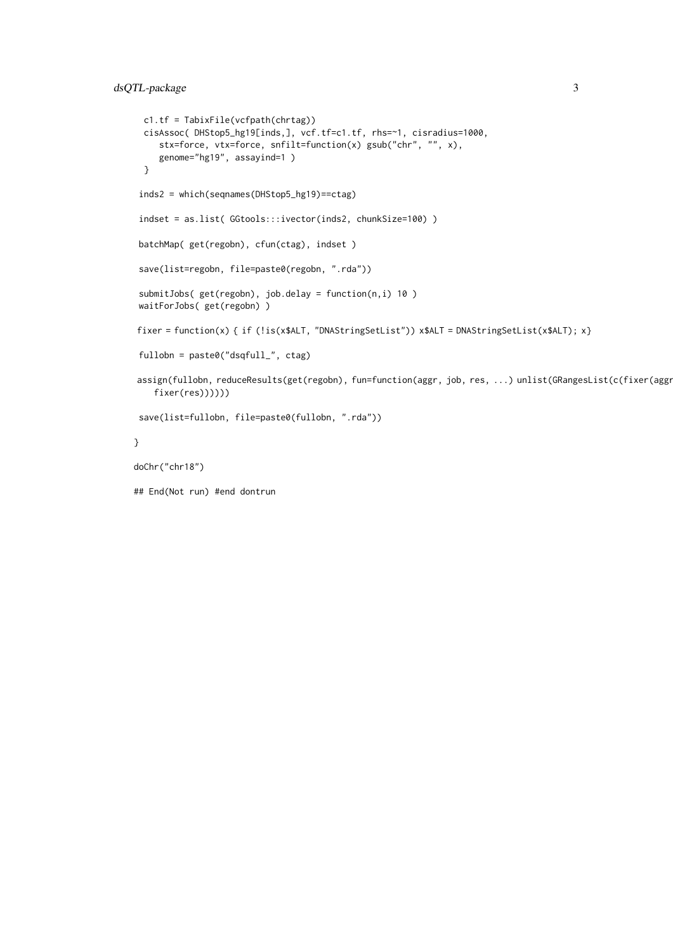```
c1.tf = TabixFile(vcfpath(chrtag))
  cisAssoc( DHStop5_hg19[inds,], vcf.tf=c1.tf, rhs=~1, cisradius=1000,
     stx=force, vtx=force, snfilt=function(x) gsub("chr", "", x),
     genome="hg19", assayind=1 )
  }
 inds2 = which(seqnames(DHStop5_hg19)==ctag)
 indset = as.list( GGtools:::ivector(inds2, chunkSize=100) )
batchMap( get(regobn), cfun(ctag), indset )
 save(list=regobn, file=paste0(regobn, ".rda"))
 submitJobs( get(regobn), job.delay = function(n,i) 10 )
 waitForJobs( get(regobn) )
fixer = function(x) { if (!is(x$ALT, "DNAStringSetList")) x$ALT = DNAStringSetList(x$ALT); x}
fullobn = paste0("dsqfull_", ctag)
assign(fullobn, reduceResults(get(regobn), fun=function(aggr, job, res, ...) unlist(GRangesList(c(fixer(aggr)
   fixer(res))))))
save(list=fullobn, file=paste0(fullobn, ".rda"))
}
doChr("chr18")
## End(Not run) #end dontrun
```